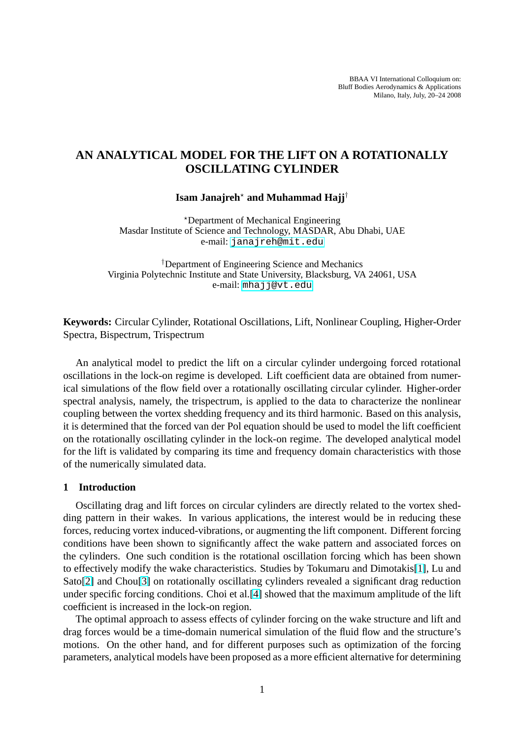# **AN ANALYTICAL MODEL FOR THE LIFT ON A ROTATIONALLY OSCILLATING CYLINDER**

### **Isam Janajreh**? **and Muhammad Hajj**†

?Department of Mechanical Engineering Masdar Institute of Science and Technology, MASDAR, Abu Dhabi, UAE e-mail: janajreh@mit.edu

†Department of Engineering Science and Mechanics Virginia Polytechnic Institute and State University, Blacksburg, VA 24061, USA e-mail: [mhajj@vt.edu](janajreh@mit.edu)

**Keywords:** Circular Cylinder, Rotational [Oscillations, Lift,](mhajj@vt.edu) Nonlinear Coupling, Higher-Order Spectra, Bispectrum, Trispectrum

An analytical model to predict the lift on a circular cylinder undergoing forced rotational oscillations in the lock-on regime is developed. Lift coefficient data are obtained from numerical simulations of the flow field over a rotationally oscillating circular cylinder. Higher-order spectral analysis, namely, the trispectrum, is applied to the data to characterize the nonlinear coupling between the vortex shedding frequency and its third harmonic. Based on this analysis, it is determined that the forced van der Pol equation should be used to model the lift coefficient on the rotationally oscillating cylinder in the lock-on regime. The developed analytical model for the lift is validated by comparing its time and frequency domain characteristics with those of the numerically simulated data.

### **1 Introduction**

Oscillating drag and lift forces on circular cylinders are directly related to the vortex shedding pattern in their wakes. In various applications, the interest would be in reducing these forces, reducing vortex induced-vibrations, or augmenting the lift component. Different forcing conditions have been shown to significantly affect the wake pattern and associated forces on the cylinders. One such condition is the rotational oscillation forcing which has been shown to effectively modify the wake characteristics. Studies by Tokumaru and Dimotakis[1], Lu and Sato[2] and Chou[3] on rotationally oscillating cylinders revealed a significant drag reduction under specific forcing conditions. Choi et al.[4] showed that the maximum amplitude of the lift coefficient is increased in the lock-on region.

T[he](#page-7-0) optimal ap[pr](#page-7-0)oach to assess effects of cylinder forcing on the wake structure [and](#page-7-0) lift and drag forces would be a time-domain numeri[cal](#page-7-0) simulation of the fluid flow and the structure's motions. On the other hand, and for different purposes such as optimization of the forcing parameters, analytical models have been proposed as a more efficient alternative for determining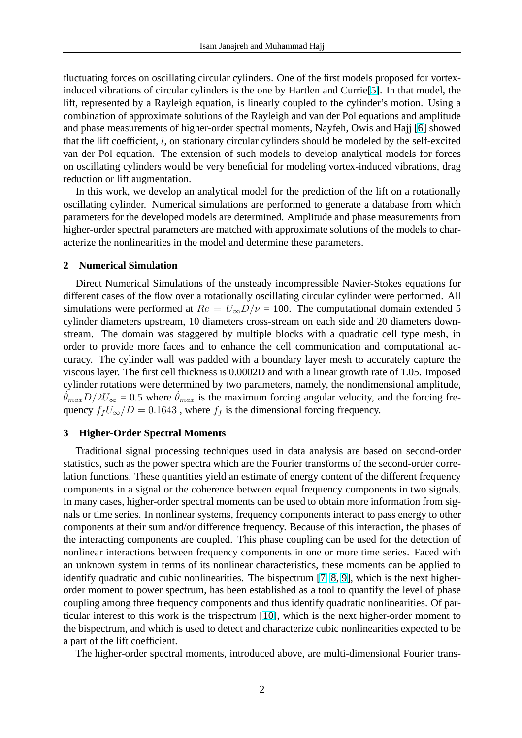fluctuating forces on oscillating circular cylinders. One of the first models proposed for vortexinduced vibrations of circular cylinders is the one by Hartlen and Currie[5]. In that model, the lift, represented by a Rayleigh equation, is linearly coupled to the cylinder's motion. Using a combination of approximate solutions of the Rayleigh and van der Pol equations and amplitude and phase measurements of higher-order spectral moments, Nayfeh, Owi[s a](#page-7-0)nd Hajj [6] showed that the lift coefficient, l, on stationary circular cylinders should be modeled by the self-excited van der Pol equation. The extension of such models to develop analytical models for forces on oscillating cylinders would be very beneficial for modeling vortex-induced vibra[tio](#page-7-0)ns, drag reduction or lift augmentation.

In this work, we develop an analytical model for the prediction of the lift on a rotationally oscillating cylinder. Numerical simulations are performed to generate a database from which parameters for the developed models are determined. Amplitude and phase measurements from higher-order spectral parameters are matched with approximate solutions of the models to characterize the nonlinearities in the model and determine these parameters.

## **2 Numerical Simulation**

Direct Numerical Simulations of the unsteady incompressible Navier-Stokes equations for different cases of the flow over a rotationally oscillating circular cylinder were performed. All simulations were performed at  $Re = U_{\infty}D/\nu = 100$ . The computational domain extended 5 cylinder diameters upstream, 10 diameters cross-stream on each side and 20 diameters downstream. The domain was staggered by multiple blocks with a quadratic cell type mesh, in order to provide more faces and to enhance the cell communication and computational accuracy. The cylinder wall was padded with a boundary layer mesh to accurately capture the viscous layer. The first cell thickness is 0.0002D and with a linear growth rate of 1.05. Imposed cylinder rotations were determined by two parameters, namely, the nondimensional amplitude,  $\dot{\theta}_{max}D/2U_{\infty} = 0.5$  where  $\dot{\theta}_{max}$  is the maximum forcing angular velocity, and the forcing frequency  $f_fU_\infty/D = 0.1643$ , where  $f_f$  is the dimensional forcing frequency.

#### **3 Higher-Order Spectral Moments**

Traditional signal processing techniques used in data analysis are based on second-order statistics, such as the power spectra which are the Fourier transforms of the second-order correlation functions. These quantities yield an estimate of energy content of the different frequency components in a signal or the coherence between equal frequency components in two signals. In many cases, higher-order spectral moments can be used to obtain more information from signals or time series. In nonlinear systems, frequency components interact to pass energy to other components at their sum and/or difference frequency. Because of this interaction, the phases of the interacting components are coupled. This phase coupling can be used for the detection of nonlinear interactions between frequency components in one or more time series. Faced with an unknown system in terms of its nonlinear characteristics, these moments can be applied to identify quadratic and cubic nonlinearities. The bispectrum [7, 8, 9], which is the next higherorder moment to power spectrum, has been established as a tool to quantify the level of phase coupling among three frequency components and thus identify quadratic nonlinearities. Of particular interest to this work is the trispectrum [10], which is [the](#page-7-0) [nex](#page-7-0)t higher-order moment to the bispectrum, and which is used to detect and characterize cubic nonlinearities expected to be a part of the lift coefficient.

The higher-order spectral moments, introdu[ced](#page-7-0) above, are multi-dimensional Fourier trans-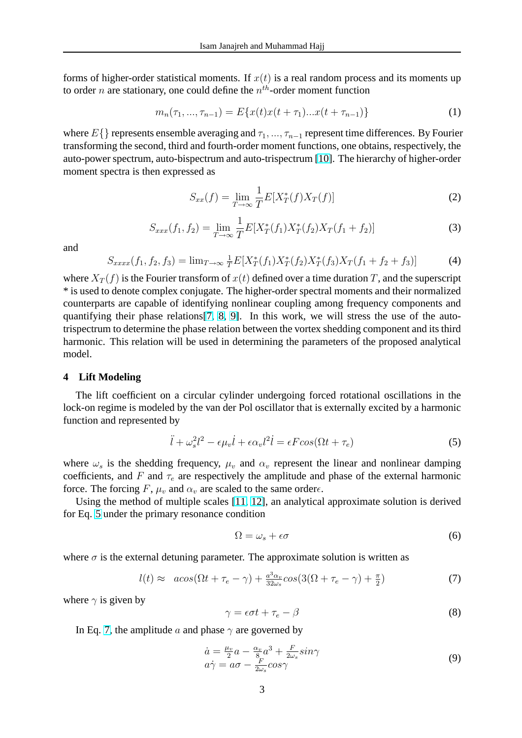<span id="page-2-0"></span>forms of higher-order statistical moments. If  $x(t)$  is a real random process and its moments up to order *n* are stationary, one could define the  $n^{th}$ -order moment function

$$
m_n(\tau_1, ..., \tau_{n-1}) = E\{x(t)x(t+\tau_1)...x(t+\tau_{n-1})\}
$$
\n(1)

where  $E\{\}$  represents ensemble averaging and  $\tau_1, \ldots, \tau_{n-1}$  represent time differences. By Fourier transforming the second, third and fourth-order moment functions, one obtains, respectively, the auto-power spectrum, auto-bispectrum and auto-trispectrum [10]. The hierarchy of higher-order moment spectra is then expressed as

$$
S_{xx}(f) = \lim_{T \to \infty} \frac{1}{T} E[X_T^*(f) X_T(f)] \tag{2}
$$

$$
S_{xxx}(f_1, f_2) = \lim_{T \to \infty} \frac{1}{T} E[X_T^*(f_1) X_T^*(f_2) X_T(f_1 + f_2)] \tag{3}
$$

and

$$
S_{xxxx}(f_1, f_2, f_3) = \lim_{T \to \infty} \frac{1}{T} E[X_T^*(f_1) X_T^*(f_2) X_T^*(f_3) X_T(f_1 + f_2 + f_3)] \tag{4}
$$

where  $X_T(f)$  is the Fourier transform of  $x(t)$  defined over a time duration T, and the superscript \* is used to denote complex conjugate. The higher-order spectral moments and their normalized counterparts are capable of identifying nonlinear coupling among frequency components and quantifying their phase relations[7, 8, 9]. In this work, we will stress the use of the autotrispectrum to determine the phase relation between the vortex shedding component and its third harmonic. This relation will be used in determining the parameters of the proposed analytical model.

#### **4 Lift Modeling**

The lift coefficient on a circular cylinder undergoing forced rotational oscillations in the lock-on regime is modeled by the van der Pol oscillator that is externally excited by a harmonic function and represented by

$$
\ddot{l} + \omega_s^2 l^2 - \epsilon \mu_v \dot{l} + \epsilon \alpha_v l^2 \dot{l} = \epsilon F \cos(\Omega t + \tau_e)
$$
\n<sup>(5)</sup>

where  $\omega_s$  is the shedding frequency,  $\mu_v$  and  $\alpha_v$  represent the linear and nonlinear damping coefficients, and F and  $\tau_e$  are respectively the amplitude and phase of the external harmonic force. The forcing F,  $\mu_v$  and  $\alpha_v$  are scaled to the same order $\epsilon$ .

Using the method of multiple scales [11, 12], an analytical approximate solution is derived for Eq. 5 under the primary resonance condition

$$
\Omega = \omega_s + \epsilon \sigma \tag{6}
$$

where  $\sigma$  is the external detuning parameter. The approximate solution is written as

$$
l(t) \approx a\cos(\Omega t + \tau_e - \gamma) + \frac{a^3 \alpha_v}{32\omega_s} \cos(3(\Omega + \tau_e - \gamma) + \frac{\pi}{2})
$$
\n<sup>(7)</sup>

where  $\gamma$  is given by

$$
\gamma = \epsilon \sigma t + \tau_e - \beta \tag{8}
$$

In Eq. 7, the amplitude a and phase  $\gamma$  are governed by

$$
\begin{array}{l}\n\dot{a} = \frac{\mu_v}{2} a - \frac{\alpha_v}{8} a^3 + \frac{F}{2\omega_s} \sin \gamma \\
a \dot{\gamma} = a \sigma - \frac{F}{2\omega_s} \cos \gamma\n\end{array} \tag{9}
$$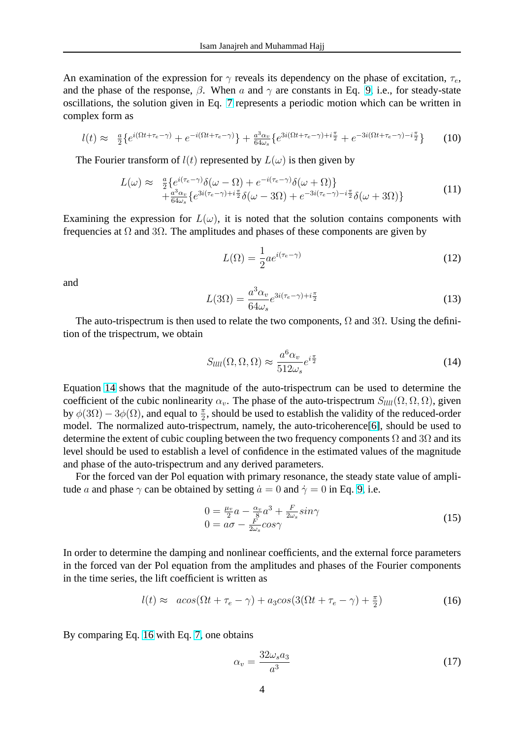An examination of the expression for  $\gamma$  reveals its dependency on the phase of excitation,  $\tau_e$ , and the phase of the response,  $\beta$ . When a and  $\gamma$  are constants in Eq. 9, i.e., for steady-state oscillations, the solution given in Eq. 7 represents a periodic motion which can be written in complex form as

$$
l(t) \approx \frac{a}{2} \{e^{i(\Omega t + \tau_e - \gamma)} + e^{-i(\Omega t + \tau_e - \gamma)}\} + \frac{a^3 \alpha_v}{64\omega_s} \{e^{3i(\Omega t + \tau_e - \gamma) + i\frac{\pi}{2}} + e^{-3i(\Omega t + \tau_e - \gamma) - i\frac{\pi}{2}}\} \tag{10}
$$

The Fourier transform of  $l(t)$  represented by  $L(\omega)$  is then given by

$$
L(\omega) \approx \frac{a}{2} \{ e^{i(\tau_e - \gamma)} \delta(\omega - \Omega) + e^{-i(\tau_e - \gamma)} \delta(\omega + \Omega) \} + \frac{a^3 \alpha_v}{64\omega_s} \{ e^{3i(\tau_e - \gamma) + i\frac{\pi}{2}} \delta(\omega - 3\Omega) + e^{-3i(\tau_e - \gamma) - i\frac{\pi}{2}} \delta(\omega + 3\Omega) \}
$$
(11)

Examining the expression for  $L(\omega)$ , it is noted that the solution contains components with frequencies at  $\Omega$  and  $3\Omega$ . The amplitudes and phases of these components are given by

$$
L(\Omega) = \frac{1}{2} a e^{i(\tau_e - \gamma)} \tag{12}
$$

and

$$
L(3\Omega) = \frac{a^3 \alpha_v}{64\omega_s} e^{3i(\tau_e - \gamma) + i\frac{\pi}{2}}
$$
\n(13)

The auto-trispectrum is then used to relate the two components,  $\Omega$  and  $3\Omega$ . Using the definition of the trispectrum, we obtain

$$
S_{llll}(\Omega, \Omega, \Omega) \approx \frac{a^6 \alpha_v}{512 \omega_s} e^{i\frac{\pi}{2}}
$$
\n(14)

Equation 14 shows that the magnitude of the auto-trispectrum can be used to determine the coefficient of the cubic nonlinearity  $\alpha_v$ . The phase of the auto-trispectrum  $S_{lll}(\Omega, \Omega, \Omega)$ , given by  $\phi(3\Omega) - 3\phi(\Omega)$ , and equal to  $\frac{\pi}{2}$ , should be used to establish the validity of the reduced-order model. The normalized auto-trispectrum, namely, the auto-tricoherence[6], should be used to determine the extent of cubic coupling between the two frequency components  $\Omega$  and  $3\Omega$  and its level should be used to establish a level of confidence in the estimated values of the magnitude and phase of the auto-trispectrum and any derived parameters.

For the forced van der Pol equation with primary resonance, the stead[y s](#page-7-0)tate value of amplitude a and phase  $\gamma$  can be obtained by setting  $\dot{a} = 0$  and  $\dot{\gamma} = 0$  in Eq. 9, i.e.

$$
0 = \frac{\mu_v}{2}a - \frac{\alpha_v}{8}a^3 + \frac{F}{2\omega_s}sin\gamma
$$
  
\n
$$
0 = a\sigma - \frac{F}{2\omega_s}cos\gamma
$$
\n(15)

In order to determine the damping and nonlinear coefficients, and the external force parameters in the forced van der Pol equation from the amplitudes and phases of the Fourier components in the time series, the lift coefficient is written as

$$
l(t) \approx a\cos(\Omega t + \tau_e - \gamma) + a_3 \cos(3(\Omega t + \tau_e - \gamma) + \frac{\pi}{2})
$$
\n(16)

By comparing Eq. 16 with Eq. 7, one obtains

$$
\alpha_v = \frac{32\omega_s a_3}{a^3} \tag{17}
$$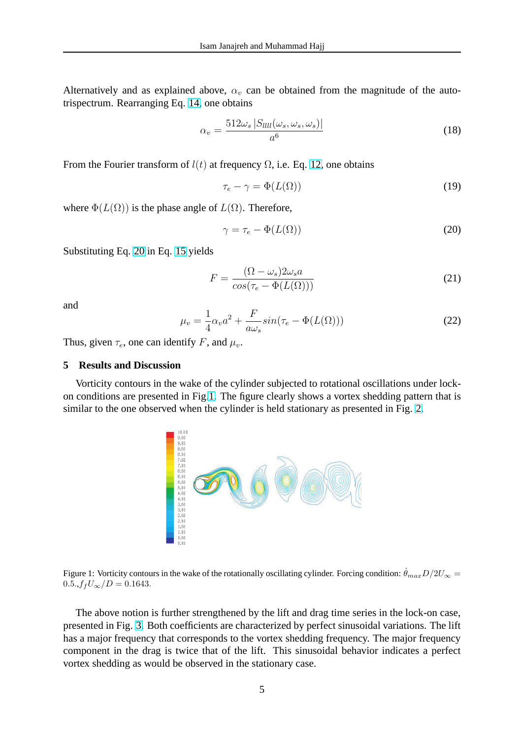Alternatively and as explained above,  $\alpha_v$  can be obtained from the magnitude of the autotrispectrum. Rearranging Eq. 14, one obtains

$$
\alpha_v = \frac{512\omega_s \left| S_{llll}(\omega_s, \omega_s, \omega_s) \right|}{a^6} \tag{18}
$$

From the Fourier transform of  $l(t)$  at frequency  $\Omega$ , i.e. Eq. 12, one obtains

$$
\tau_e - \gamma = \Phi(L(\Omega)) \tag{19}
$$

where  $\Phi(L(\Omega))$  is the phase angle of  $L(\Omega)$ . Therefore,

$$
\gamma = \tau_e - \Phi(L(\Omega)) \tag{20}
$$

Substituting Eq. 20 in Eq. 15 yields

$$
F = \frac{(\Omega - \omega_s) 2\omega_s a}{\cos(\tau_e - \Phi(L(\Omega)))}
$$
\n(21)

and

$$
\mu_v = \frac{1}{4}\alpha_v a^2 + \frac{F}{a\omega_s} sin(\tau_e - \Phi(L(\Omega)))
$$
\n(22)

Thus, given  $\tau_e$ , one can identify F, and  $\mu_v$ .

### **5 Results and Discussion**

Vorticity contours in the wake of the cylinder subjected to rotational oscillations under lockon conditions are presented in Fig.1. The figure clearly shows a vortex shedding pattern that is similar to the one observed when the cylinder is held stationary as presented in Fig. 2.



Figure 1: Vorticity contours in the wake of the rotationally oscillating cylinder. Forcing condition:  $\dot{\theta}_{max}D/2U_{\infty}$  =  $0.5., f_fU_{\infty}/D = 0.1643.$ 

The above notion is further strengthened by the lift and drag time series in the lock-on case, presented in Fig. 3. Both coefficients are characterized by perfect sinusoidal variations. The lift has a major frequency that corresponds to the vortex shedding frequency. The major frequency component in the drag is twice that of the lift. This sinusoidal behavior indicates a perfect vortex shedding [as](#page-5-0) would be observed in the stationary case.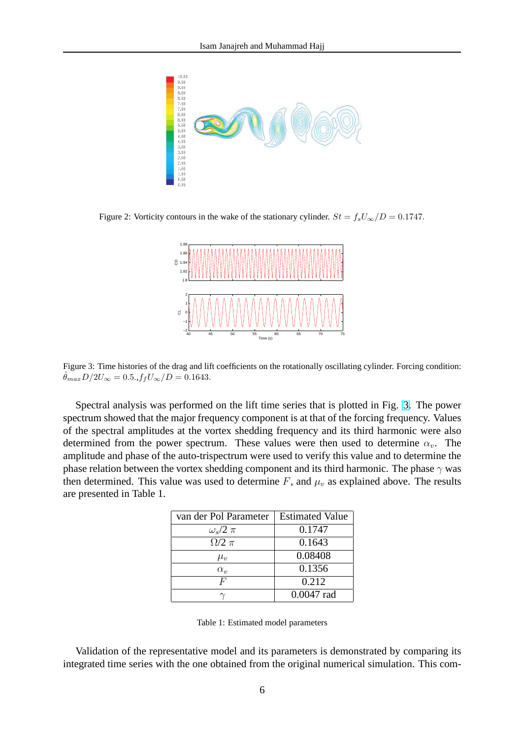<span id="page-5-0"></span>

Figure 2: Vorticity contours in the wake of the stationary cylinder.  $St = f_sU_\infty/D = 0.1747$ .



Figure 3: Time histories of the drag and lift coefficients on the rotationally oscillating cylinder. Forcing condition:  $\theta_{max} D/2U_{\infty} = 0.5., f_f U_{\infty}/D = 0.1643.$ 

Spectral analysis was performed on the lift time series that is plotted in Fig. 3. The power spectrum showed that the major frequency component is at that of the forcing frequency. Values of the spectral amplitudes at the vortex shedding frequency and its third harmonic were also determined from the power spectrum. These values were then used to determine  $\alpha_v$ . The amplitude and phase of the auto-trispectrum were used to verify this value and to determine the phase relation between the vortex shedding component and its third harmonic. The phase  $\gamma$  was then determined. This value was used to determine F, and  $\mu_v$  as explained above. The results are presented in Table 1.

| van der Pol Parameter | <b>Estimated Value</b> |
|-----------------------|------------------------|
| $\omega_s/2 \pi$      | 0.1747                 |
| $\Omega/2 \pi$        | 0.1643                 |
| $\mu_v$               | 0.08408                |
| $\alpha_{v}$          | 0.1356                 |
| F                     | 0.212                  |
|                       | $0.0047$ rad           |

Table 1: Estimated model parameters

Validation of the representative model and its parameters is demonstrated by comparing its integrated time series with the one obtained from the original numerical simulation. This com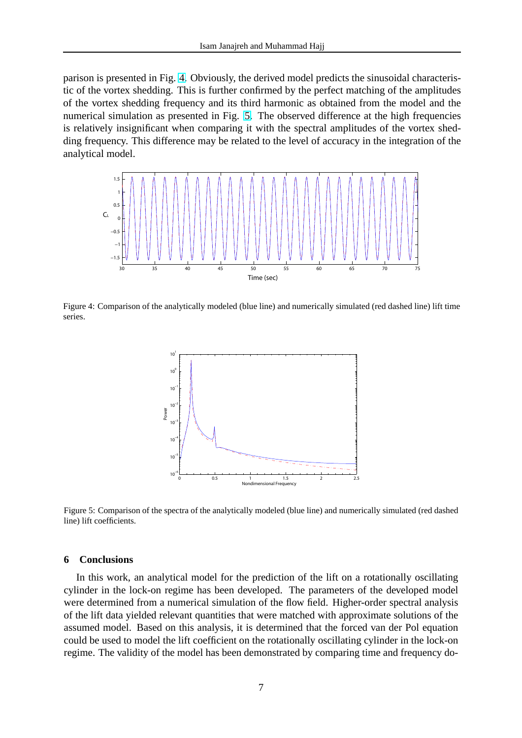parison is presented in Fig. 4. Obviously, the derived model predicts the sinusoidal characteristic of the vortex shedding. This is further confirmed by the perfect matching of the amplitudes of the vortex shedding frequency and its third harmonic as obtained from the model and the numerical simulation as presented in Fig. 5. The observed difference at the high frequencies is relatively insignificant when comparing it with the spectral amplitudes of the vortex shedding frequency. This difference may be related to the level of accuracy in the integration of the analytical model.



Figure 4: Comparison of the analytically modeled (blue line) and numerically simulated (red dashed line) lift time series.



Figure 5: Comparison of the spectra of the analytically modeled (blue line) and numerically simulated (red dashed line) lift coefficients.

#### **6 Conclusions**

In this work, an analytical model for the prediction of the lift on a rotationally oscillating cylinder in the lock-on regime has been developed. The parameters of the developed model were determined from a numerical simulation of the flow field. Higher-order spectral analysis of the lift data yielded relevant quantities that were matched with approximate solutions of the assumed model. Based on this analysis, it is determined that the forced van der Pol equation could be used to model the lift coefficient on the rotationally oscillating cylinder in the lock-on regime. The validity of the model has been demonstrated by comparing time and frequency do